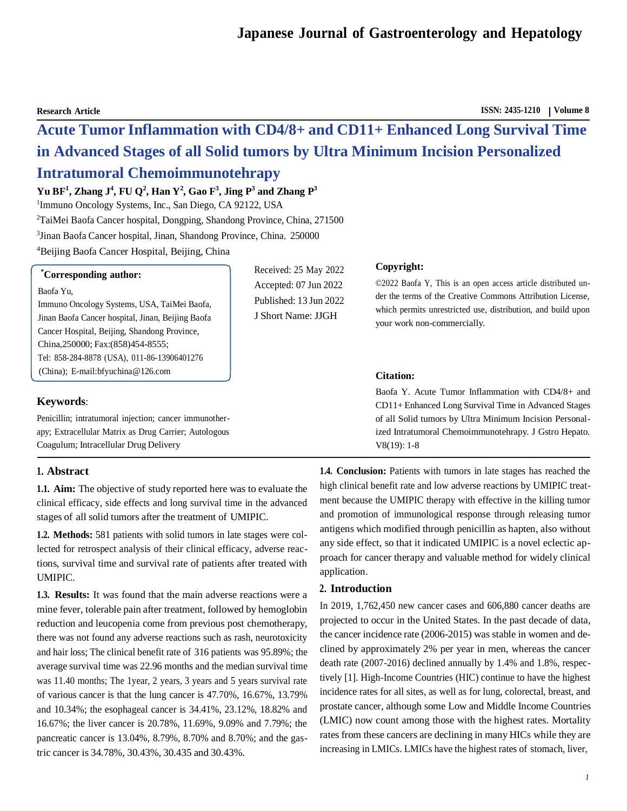**Research Article ISSN: 2435-1210 Volume 8**

# **Acute Tumor Inflammation with CD4/8+ and CD11+ Enhanced Long Survival Time in Advanced Stages of all Solid tumors by Ultra Minimum Incision Personalized Intratumoral Chemoimmunotehrapy**

# $\mathbf{Yu}$  BF<sup>1</sup>, Zhang J<sup>4</sup>, FU Q<sup>2</sup>, Han  $\mathbf{Y}^2$ , Gao F<sup>3</sup>, Jing P<sup>3</sup> and Zhang P<sup>3</sup>

<sup>1</sup>Immuno Oncology Systems, Inc., San Diego, CA 92122, USA <sup>2</sup>TaiMei Baofa Cancer hospital, Dongping, Shandong Province, China, 271500 <sup>3</sup>Jinan Baofa Cancer hospital, Jinan, Shandong Province, China, 250000 <sup>4</sup>Beijing Baofa Cancer Hospital, Beijing, China

| <i>*Corresponding author:</i>                     |
|---------------------------------------------------|
| Baofa Yu,                                         |
| Immuno Oncology Systems, USA, TaiMei Baofa,       |
| Jinan Baofa Cancer hospital, Jinan, Beijing Baofa |
| Cancer Hospital, Beijing, Shandong Province,      |
| China, 250000; Fax: (858) 454-8555;               |
| Tel: 858-284-8878 (USA), 011-86-13906401276       |
| (China); E-mail: bfyuchina @ 126.com              |

# **Keywords**:

Penicillin; intratumoral injection; cancer immunotherapy; Extracellular Matrix as Drug Carrier; Autologous Coagulum; Intracellular Drug Delivery

# **1. Abstract**

**1.1. Aim:** The objective of study reported here was to evaluate the clinical efficacy, side effects and long survival time in the advanced stages of all solid tumors after the treatment of UMIPIC.

**1.2. Methods:** 581 patients with solid tumors in late stages were collected for retrospect analysis of their clinical efficacy, adverse reactions, survival time and survival rate of patients after treated with UMIPIC.

**1.3. Results:** It was found that the main adverse reactions were a mine fever, tolerable pain after treatment, followed by hemoglobin reduction and leucopenia come from previous post chemotherapy, there was not found any adverse reactions such as rash, neurotoxicity and hair loss; The clinical benefit rate of 316 patients was 95.89%; the average survival time was 22.96 months and the median survival time was 11.40 months; The 1year, 2 years, 3 years and 5 years survival rate of various cancer is that the lung cancer is 47.70%, 16.67%, 13.79% and 10.34%; the esophageal cancer is 34.41%, 23.12%, 18.82% and 16.67%; the liver cancer is 20.78%, 11.69%, 9.09% and 7.79%; the pancreatic cancer is 13.04%, 8.79%, 8.70% and 8.70%; and the gastric cancer is 34.78%, 30.43%, 30.435 and 30.43%.

Received: 25 May 2022 Accepted: 07 Jun 2022 Published: 13 Jun 2022 J Short Name: JJGH

# **Copyright:**

©2022 Baofa Y, This is an open access article distributed under the terms of the Creative Commons Attribution License, which permits unrestricted use, distribution, and build upon your work non-commercially.

# **Citation:**

Baofa Y. Acute Tumor Inflammation with CD4/8+ and CD11+ Enhanced Long Survival Time in Advanced Stages of all Solid tumors by Ultra Minimum Incision Personalized Intratumoral Chemoimmunotehrapy. J Gstro Hepato. V8(19): 1-8

**1.4. Conclusion:** Patients with tumors in late stages has reached the high clinical benefit rate and low adverse reactions by UMIPIC treatment because the UMIPIC therapy with effective in the killing tumor and promotion of immunological response through releasing tumor antigens which modified through penicillin as hapten, also without any side effect, so that it indicated UMIPIC is a novel eclectic approach for cancer therapy and valuable method for widely clinical application.

# **2. Introduction**

In 2019, 1,762,450 new cancer cases and 606,880 cancer deaths are projected to occur in the United States. In the past decade of data, the cancer incidence rate (2006-2015) was stable in women and declined by approximately 2% per year in men, whereas the cancer death rate (2007-2016) declined annually by 1.4% and 1.8%, respectively [1]. High-Income Countries (HIC) continue to have the highest incidence rates for all sites, as well as for lung, colorectal, breast, and prostate cancer, although some Low and Middle Income Countries (LMIC) now count among those with the highest rates. Mortality rates from these cancers are declining in many HICs while they are increasing in LMICs. LMICs have the highest rates of stomach, liver,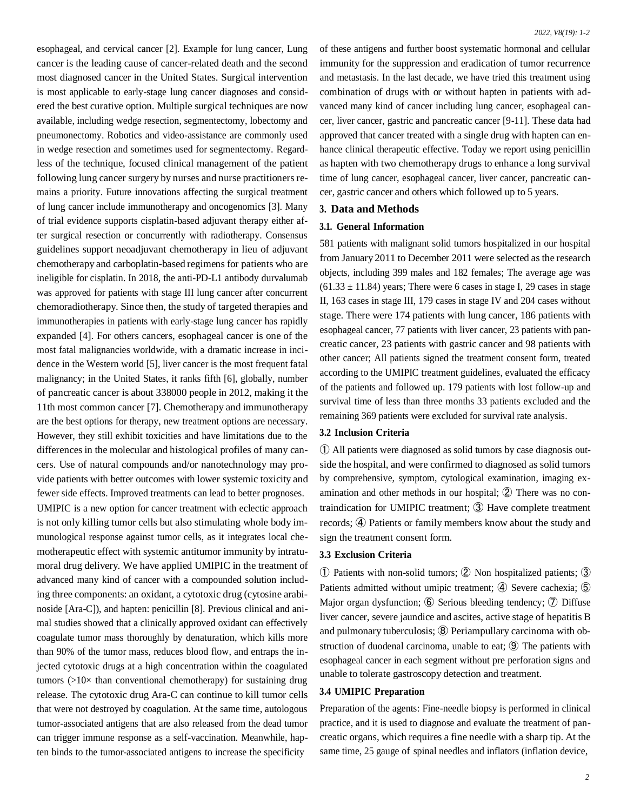esophageal, and cervical cancer [2]. Example for lung cancer, Lung cancer is the leading cause of cancer-related death and the second most diagnosed cancer in the United States. Surgical intervention is most applicable to early-stage lung cancer diagnoses and considered the best curative option. Multiple surgical techniques are now available, including wedge resection, segmentectomy, lobectomy and pneumonectomy. Robotics and video-assistance are commonly used in wedge resection and sometimes used for segmentectomy. Regardless of the technique, focused clinical management of the patient following lung cancer surgery by nurses and nurse practitioners remains a priority. Future innovations affecting the surgical treatment of lung cancer include immunotherapy and oncogenomics [3]. Many of trial evidence supports cisplatin-based adjuvant therapy either after surgical resection or concurrently with radiotherapy. Consensus guidelines support neoadjuvant chemotherapy in lieu of adjuvant chemotherapy and carboplatin-based regimens for patients who are ineligible for cisplatin. In 2018, the anti-PD-L1 antibody durvalumab was approved for patients with stage III lung cancer after concurrent chemoradiotherapy. Since then, the study of targeted therapies and immunotherapies in patients with early-stage lung cancer has rapidly expanded [4]. For others cancers, esophageal cancer is one of the most fatal malignancies worldwide, with a dramatic increase in incidence in the Western world [5], liver cancer is the most frequent fatal malignancy; in the United States, it ranks fifth [6], globally, number of pancreatic cancer is about 338000 people in 2012, making it the 11th most common cancer [7]. Chemotherapy and immunotherapy are the best options for therapy, new treatment options are necessary. However, they still exhibit toxicities and have limitations due to the differences in the molecular and histological profiles of many cancers. Use of natural compounds and/or nanotechnology may provide patients with better outcomes with lower systemic toxicity and fewer side effects. Improved treatments can lead to better prognoses. UMIPIC is a new option for cancer treatment with eclectic approach is not only killing tumor cells but also stimulating whole body immunological response against tumor cells, as it integrates local chemotherapeutic effect with systemic antitumor immunity by intratumoral drug delivery. We have applied UMIPIC in the treatment of advanced many kind of cancer with a compounded solution including three components: an oxidant, a cytotoxic drug (cytosine arabinoside [Ara-C]), and hapten: penicillin [8]. Previous clinical and animal studies showed that a clinically approved oxidant can effectively coagulate tumor mass thoroughly by denaturation, which kills more than 90% of the tumor mass, reduces blood flow, and entraps the injected cytotoxic drugs at a high concentration within the coagulated tumors  $(>10\times$  than conventional chemotherapy) for sustaining drug release. The cytotoxic drug Ara-C can continue to kill tumor cells that were not destroyed by coagulation. At the same time, autologous tumor-associated antigens that are also released from the dead tumor can trigger immune response as a self-vaccination. Meanwhile, hapten binds to the tumor-associated antigens to increase the specificity

of these antigens and further boost systematic hormonal and cellular immunity for the suppression and eradication of tumor recurrence and metastasis. In the last decade, we have tried this treatment using combination of drugs with or without hapten in patients with advanced many kind of cancer including lung cancer, esophageal cancer, liver cancer, gastric and pancreatic cancer [9-11]. These data had approved that cancer treated with a single drug with hapten can enhance clinical therapeutic effective. Today we report using penicillin as hapten with two chemotherapy drugs to enhance a long survival time of lung cancer, esophageal cancer, liver cancer, pancreatic cancer, gastric cancer and others which followed up to 5 years.

# **3. Data and Methods**

#### **3.1. General Information**

581 patients with malignant solid tumors hospitalized in our hospital from January 2011 to December 2011 were selected as the research objects, including 399 males and 182 females; The average age was  $(61.33 \pm 11.84)$  years; There were 6 cases in stage I, 29 cases in stage II, 163 cases in stage III, 179 cases in stage IV and 204 cases without stage. There were 174 patients with lung cancer, 186 patients with esophageal cancer, 77 patients with liver cancer, 23 patients with pancreatic cancer, 23 patients with gastric cancer and 98 patients with other cancer; All patients signed the treatment consent form, treated according to the UMIPIC treatment guidelines, evaluated the efficacy of the patients and followed up. 179 patients with lost follow-up and survival time of less than three months 33 patients excluded and the remaining 369 patients were excluded for survival rate analysis.

### **3.2 Inclusion Criteria**

① All patients were diagnosed as solid tumors by case diagnosis outside the hospital, and were confirmed to diagnosed as solid tumors by comprehensive, symptom, cytological examination, imaging examination and other methods in our hospital; ② There was no contraindication for UMIPIC treatment; ③ Have complete treatment records; ④ Patients or family members know about the study and sign the treatment consent form.

#### **3.3 Exclusion Criteria**

① Patients with non-solid tumors; ② Non hospitalized patients; ③ Patients admitted without umipic treatment; ④ Severe cachexia; ⑤ Major organ dysfunction; ⑥ Serious bleeding tendency; ⑦ Diffuse liver cancer, severe jaundice and ascites, active stage of hepatitis B and pulmonary tuberculosis; ⑧ Periampullary carcinoma with obstruction of duodenal carcinoma, unable to eat; **⑨** The patients with esophageal cancer in each segment without pre perforation signs and unable to tolerate gastroscopy detection and treatment.

#### **3.4 UMIPIC Preparation**

Preparation of the agents: Fine-needle biopsy is performed in clinical practice, and it is used to diagnose and evaluate the treatment of pancreatic organs, which requires a fine needle with a sharp tip. At the same time, 25 gauge of spinal needles and inflators (inflation device,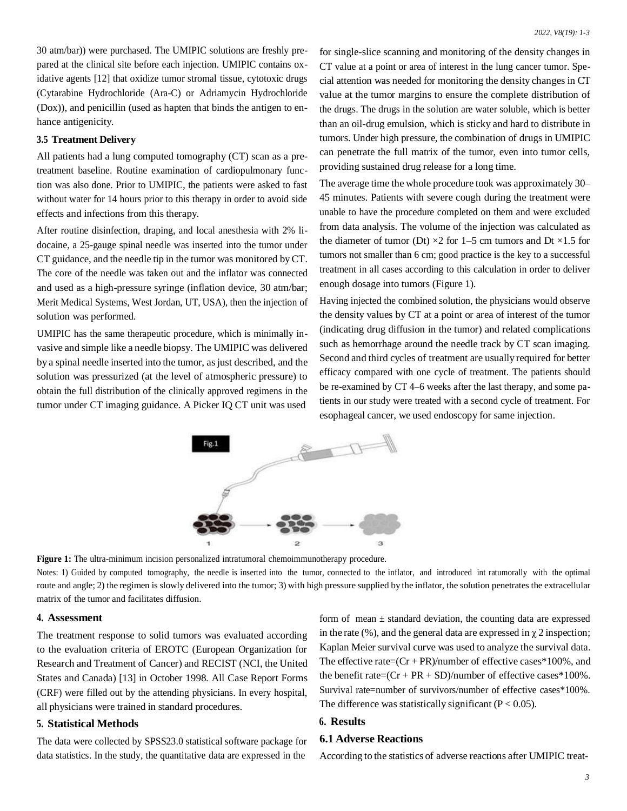30 atm/bar)) were purchased. The UMIPIC solutions are freshly prepared at the clinical site before each injection. UMIPIC contains oxidative agents [12] that oxidize tumor stromal tissue, cytotoxic drugs (Cytarabine Hydrochloride (Ara-C) or Adriamycin Hydrochloride (Dox)), and penicillin (used as hapten that binds the antigen to enhance antigenicity.

#### **3.5 Treatment Delivery**

All patients had a lung computed tomography (CT) scan as a pretreatment baseline. Routine examination of cardiopulmonary function was also done. Prior to UMIPIC, the patients were asked to fast without water for 14 hours prior to this therapy in order to avoid side effects and infections from this therapy.

After routine disinfection, draping, and local anesthesia with 2% lidocaine, a 25-gauge spinal needle was inserted into the tumor under CT guidance, and the needle tip in the tumor was monitored byCT. The core of the needle was taken out and the inflator was connected and used as a high-pressure syringe (inflation device, 30 atm/bar; Merit Medical Systems, West Jordan, UT, USA), then the injection of solution was performed.

UMIPIC has the same therapeutic procedure, which is minimally invasive and simple like a needle biopsy. The UMIPIC was delivered by a spinal needle inserted into the tumor, as just described, and the solution was pressurized (at the level of atmospheric pressure) to obtain the full distribution of the clinically approved regimens in the tumor under CT imaging guidance. A Picker IQ CT unit was used

for single-slice scanning and monitoring of the density changes in CT value at a point or area of interest in the lung cancer tumor. Special attention was needed for monitoring the density changes in CT value at the tumor margins to ensure the complete distribution of the drugs. The drugs in the solution are water soluble, which is better than an oil-drug emulsion, which is sticky and hard to distribute in tumors. Under high pressure, the combination of drugs in UMIPIC can penetrate the full matrix of the tumor, even into tumor cells, providing sustained drug release for a long time.

The average time the whole procedure took was approximately 30– 45 minutes. Patients with severe cough during the treatment were unable to have the procedure completed on them and were excluded from data analysis. The volume of the injection was calculated as the diameter of tumor (Dt)  $\times 2$  for 1–5 cm tumors and Dt  $\times 1.5$  for tumors not smaller than 6 cm; good practice is the key to a successful treatment in all cases according to this calculation in order to deliver enough dosage into tumors (Figure 1).

Having injected the combined solution, the physicians would observe the density values by CT at a point or area of interest of the tumor (indicating drug diffusion in the tumor) and related complications such as hemorrhage around the needle track by CT scan imaging. Second and third cycles of treatment are usually required for better efficacy compared with one cycle of treatment. The patients should be re-examined by CT 4–6 weeks after the last therapy, and some patients in our study were treated with a second cycle of treatment. For esophageal cancer, we used endoscopy for same injection.



**Figure 1:** The ultra-minimum incision personalized intratumoral chemoimmunotherapy procedure. Notes: 1) Guided by computed tomography, the needle is inserted into the tumor, connected to the inflator, and introduced int ratumorally with the optimal route and angle; 2) the regimen is slowly delivered into the tumor; 3) with high pressure supplied by the inflator, the solution penetrates the extracellular matrix of the tumor and facilitates diffusion.

#### **4. Assessment**

The treatment response to solid tumors was evaluated according to the evaluation criteria of EROTC (European Organization for Research and Treatment of Cancer) and RECIST (NCI, the United States and Canada) [13] in October 1998. All Case Report Forms (CRF) were filled out by the attending physicians. In every hospital, all physicians were trained in standard procedures.

# **5. Statistical Methods**

The data were collected by SPSS23.0 statistical software package for data statistics. In the study, the quantitative data are expressed in the

form of mean  $\pm$  standard deviation, the counting data are expressed in the rate (%), and the general data are expressed in  $\gamma$  2 inspection; Kaplan Meier survival curve was used to analyze the survival data. The effective rate= $(Cr + PR)/$ number of effective cases\*100%, and the benefit rate= $(Cr + PR + SD)/$ number of effective cases\*100%. Survival rate=number of survivors/number of effective cases\*100%. The difference was statistically significant ( $P < 0.05$ ).

# **6. Results**

# **6.1 Adverse Reactions**

According to the statistics of adverse reactions after UMIPIC treat-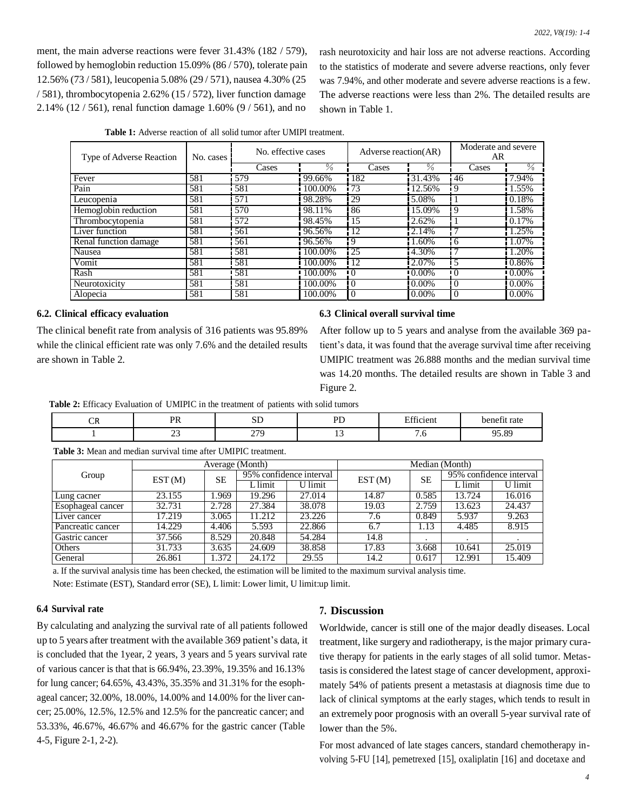ment, the main adverse reactions were fever 31.43% (182 / 579), followed by hemoglobin reduction 15.09% (86 / 570), tolerate pain 12.56% (73 / 581), leucopenia 5.08% (29 / 571), nausea 4.30% (25 / 581), thrombocytopenia 2.62% (15 / 572), liver function damage 2.14% (12 / 561), renal function damage 1.60% (9 / 561), and no

rash neurotoxicity and hair loss are not adverse reactions. According to the statistics of moderate and severe adverse reactions, only fever was 7.94%, and other moderate and severe adverse reactions is a few. The adverse reactions were less than 2%. The detailed results are shown in Table 1.

| Type of Adverse Reaction | No. cases | No. effective cases |         | Adverse reaction(AR) |          | Moderate and severe<br>AR |               |
|--------------------------|-----------|---------------------|---------|----------------------|----------|---------------------------|---------------|
|                          |           | Cases               | ℅       | Cases                | ℅        | Cases                     | $\frac{0}{6}$ |
| Fever                    | 581       | 579                 | 99.66%  | 182                  | 31.43%   | 46                        | 7.94%         |
| Pain                     | 581       | 581                 | 100.00% | 73                   | 12.56%   | 9                         | 1.55%         |
| Leucopenia               | 581       | 571                 | 98.28%  | 29                   | 5.08%    |                           | 0.18%         |
| Hemoglobin reduction     | 581       | 570                 | 98.11%  | 86                   | 15.09%   | 9                         | 1.58%         |
| Thrombocytopenia         | 581       | 572                 | 98.45%  | 15                   | 2.62%    |                           | 0.17%         |
| Liver function           | 581       | 561                 | 96.56%  | 12                   | 2.14%    | $\overline{ }$            | 1.25%         |
| Renal function damage    | 581       | 561                 | 96.56%  | $\overline{9}$       | 1.60%    | 6                         | 1.07%         |
| Nausea                   | 581       | 581                 | 100.00% | 25                   | 4.30%    |                           | 1.20%         |
| Vomit                    | 581       | 581                 | 100.00% | 12                   | 2.07%    | 5                         | 0.86%         |
| Rash                     | 581       | 581                 | 100.00% | ËΟ                   | $0.00\%$ | $\Omega$                  | $10.00\%$     |
| Neurotoxicity            | 581       | 581                 | 100.00% | $\Omega$             | $0.00\%$ | $\Omega$                  | $0.00\%$      |
| Alopecia                 | 581       | 581                 | 100.00% | $\overline{0}$       | $0.00\%$ | $\Omega$                  | $0.00\%$      |

#### **6.2. Clinical efficacy evaluation**

The clinical benefit rate from analysis of 316 patients was 95.89% while the clinical efficient rate was only 7.6% and the detailed results are shown in Table 2.

#### **6.3 Clinical overall survival time**

After follow up to 5 years and analyse from the available 369 patient's data, it was found that the average survival time after receiving UMIPIC treatment was 26.888 months and the median survival time was 14.20 months. The detailed results are shown in Table 3 and Figure 2.

**Table 2:** Efficacy Evaluation of UMIPIC in the treatment of patients with solid tumors

| $\cap$<br>UN | <b>DR</b><br>. | ນມ                     | DE             | $\mathbf{r}$ $\alpha$<br>etticient | benefit rate    |
|--------------|----------------|------------------------|----------------|------------------------------------|-----------------|
|              | ب سے           | 270<br><u>_</u><br>___ | $\overline{ }$ | , . u                              | 05.80<br>,,,,,, |

**Table 3:** Mean and median survival time after UMIPIC treatment.

|                          | Average (Month) |       |                               |        | Median (Month) |           |                         |                      |
|--------------------------|-----------------|-------|-------------------------------|--------|----------------|-----------|-------------------------|----------------------|
| Group                    | EST(M)          | SЕ    | 95% confidence interval       |        | EST(M)         | <b>SE</b> | 95% confidence interval |                      |
|                          |                 |       | $\overline{\mathsf{L}}$ limit | limit  |                |           | $L$ limit               | $\overline{U}$ limit |
| Lung cacner              | 23.155          | .969  | 19.296                        | 27.014 | 14.87          | 0.585     | 13.724                  | 16.016               |
| <b>Esophageal cancer</b> | 32.731          | 2.728 | 27.384                        | 38.078 | 19.03          | 2.759     | 13.623                  | 24.437               |
| Liver cancer             | 17.219          | 3.065 | 11.212                        | 23.226 | 7.6            | 0.849     | 5.937                   | 9.263                |
| Pancreatic cancer        | 14.229          | 4.406 | 5.593                         | 22.866 | 6.7            | 1.13      | 4.485                   | 8.915                |
| Gastric cancer           | 37.566          | 8.529 | 20.848                        | 54.284 | 14.8           |           |                         |                      |
| Others                   | 31.733          | 3.635 | 24.609                        | 38.858 | 17.83          | 3.668     | 10.641                  | 25.019               |
| General                  | 26.861          | .372  | $24.\overline{172}$           | 29.55  | 14.2           | 0.617     | 12.991                  | 15.409               |

a. If the survival analysis time has been checked, the estimation will be limited to the maximum survival analysis time. Note: Estimate (EST), Standard error (SE), L limit: Lower limit, U limit:up limit.

# **6.4 Survival rate**

By calculating and analyzing the survival rate of all patients followed up to 5 years after treatment with the available 369 patient's data, it is concluded that the 1year, 2 years, 3 years and 5 years survival rate of various cancer is that that is 66.94%, 23.39%, 19.35% and 16.13% for lung cancer; 64.65%, 43.43%, 35.35% and 31.31% for the esophageal cancer; 32.00%, 18.00%, 14.00% and 14.00% for the liver cancer; 25.00%, 12.5%, 12.5% and 12.5% for the pancreatic cancer; and 53.33%, 46.67%, 46.67% and 46.67% for the gastric cancer (Table 4-5, Figure 2-1, 2-2).

#### **7. Discussion**

Worldwide, cancer is still one of the major deadly diseases. Local treatment, like surgery and radiotherapy, is the major primary curative therapy for patients in the early stages of all solid tumor. Metastasisis considered the latest stage of cancer development, approximately 54% of patients present a metastasis at diagnosis time due to lack of clinical symptoms at the early stages, which tends to result in an extremely poor prognosis with an overall 5-year survival rate of lower than the 5%.

For most advanced of late stages cancers, standard chemotherapy involving 5-FU [14], pemetrexed [15], oxaliplatin [16] and docetaxe and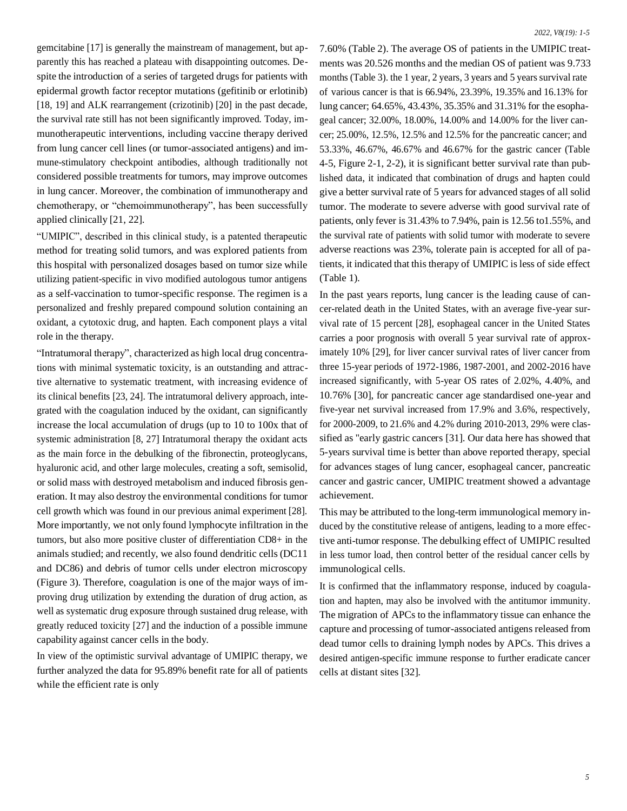gemcitabine [17] is generally the mainstream of management, but apparently this has reached a plateau with disappointing outcomes. Despite the introduction of a series of targeted drugs for patients with epidermal growth factor receptor mutations (gefitinib or erlotinib) [18, 19] and ALK rearrangement (crizotinib) [20] in the past decade, the survival rate still has not been significantly improved. Today, immunotherapeutic interventions, including vaccine therapy derived from lung cancer cell lines (or tumor-associated antigens) and immune-stimulatory checkpoint antibodies, although traditionally not considered possible treatments for tumors, may improve outcomes in lung cancer. Moreover, the combination of immunotherapy and chemotherapy, or "chemoimmunotherapy", has been successfully applied clinically [21, 22].

"UMIPIC", described in this clinical study, is a patented therapeutic method for treating solid tumors, and was explored patients from this hospital with personalized dosages based on tumor size while utilizing patient-specific in vivo modified autologous tumor antigens as a self-vaccination to tumor-specific response. The regimen is a personalized and freshly prepared compound solution containing an oxidant, a cytotoxic drug, and hapten. Each component plays a vital role in the therapy.

"Intratumoral therapy", characterized as high local drug concentrations with minimal systematic toxicity, is an outstanding and attractive alternative to systematic treatment, with increasing evidence of its clinical benefits [23, 24]. The intratumoral delivery approach, integrated with the coagulation induced by the oxidant, can significantly increase the local accumulation of drugs (up to 10 to 100x that of systemic administration [8, 27] Intratumoral therapy the oxidant acts as the main force in the debulking of the fibronectin, proteoglycans, hyaluronic acid, and other large molecules, creating a soft, semisolid, or solid mass with destroyed metabolism and induced fibrosis generation. It may also destroy the environmental conditions for tumor cell growth which was found in our previous animal experiment [28]. More importantly, we not only found lymphocyte infiltration in the tumors, but also more positive cluster of differentiation CD8+ in the animals studied; and recently, we also found dendritic cells (DC11 and DC86) and debris of tumor cells under electron microscopy (Figure 3). Therefore, coagulation is one of the major ways of improving drug utilization by extending the duration of drug action, as well as systematic drug exposure through sustained drug release, with greatly reduced toxicity [27] and the induction of a possible immune capability against cancer cells in the body.

In view of the optimistic survival advantage of UMIPIC therapy, we further analyzed the data for 95.89% benefit rate for all of patients while the efficient rate is only

7.60% (Table 2). The average OS of patients in the UMIPIC treatments was 20.526 months and the median OS of patient was 9.733 months (Table 3). the 1 year, 2 years, 3 years and 5 years survival rate of various cancer is that is 66.94%, 23.39%, 19.35% and 16.13% for lung cancer; 64.65%, 43.43%, 35.35% and 31.31% for the esophageal cancer; 32.00%, 18.00%, 14.00% and 14.00% for the liver cancer; 25.00%, 12.5%, 12.5% and 12.5% for the pancreatic cancer; and 53.33%, 46.67%, 46.67% and 46.67% for the gastric cancer (Table 4-5, Figure 2-1, 2-2), it is significant better survival rate than published data, it indicated that combination of drugs and hapten could give a better survival rate of 5 years for advanced stages of all solid tumor. The moderate to severe adverse with good survival rate of patients, only fever is 31.43% to 7.94%, pain is 12.56 to1.55%, and the survival rate of patients with solid tumor with moderate to severe adverse reactions was 23%, tolerate pain is accepted for all of patients, it indicated that this therapy of UMIPIC isless of side effect (Table 1).

In the past years reports, lung cancer is the leading cause of cancer-related death in the United States, with an average five-year survival rate of 15 percent [28], esophageal cancer in the United States carries a poor prognosis with overall 5 year survival rate of approximately 10% [29], for liver cancer survival rates of liver cancer from three 15-year periods of 1972-1986, 1987-2001, and 2002-2016 have increased significantly, with 5-year OS rates of 2.02%, 4.40%, and 10.76% [30], for pancreatic cancer age standardised one-year and five-year net survival increased from 17.9% and 3.6%, respectively, for 2000-2009, to 21.6% and 4.2% during 2010-2013, 29% were classified as "early gastric cancers [31]. Our data here has showed that 5-years survival time is better than above reported therapy, special for advances stages of lung cancer, esophageal cancer, pancreatic cancer and gastric cancer, UMIPIC treatment showed a advantage achievement.

This may be attributed to the long-term immunological memory induced by the constitutive release of antigens, leading to a more effective anti-tumor response. The debulking effect of UMIPIC resulted in less tumor load, then control better of the residual cancer cells by immunological cells.

It is confirmed that the inflammatory response, induced by coagulation and hapten, may also be involved with the antitumor immunity. The migration of APCs to the inflammatory tissue can enhance the capture and processing of tumor-associated antigens released from dead tumor cells to draining lymph nodes by APCs. This drives a desired antigen-specific immune response to further eradicate cancer cells at distant sites [32].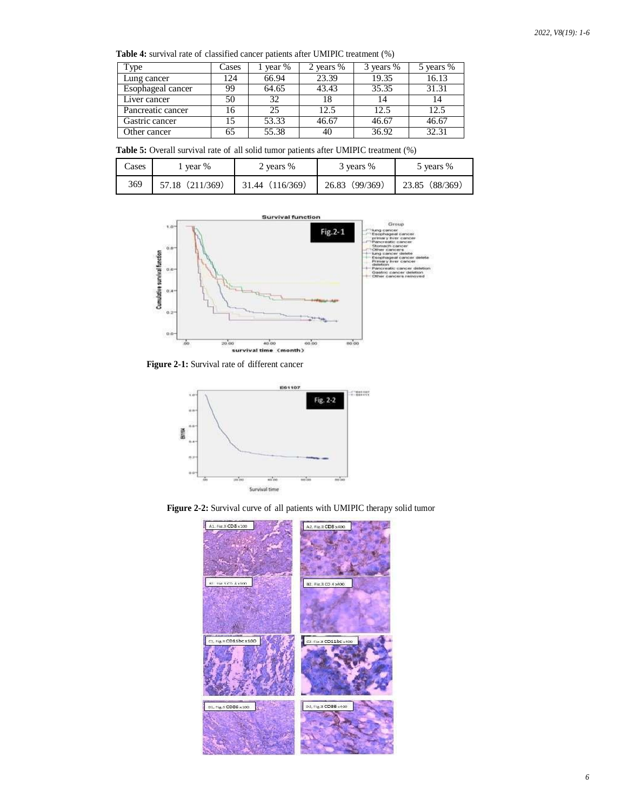**Table 4:** survival rate of classified cancer patients after UMIPIC treatment (%)

| l ype             | Cases | year % | 2 years % | 3 years % | 5 years % |
|-------------------|-------|--------|-----------|-----------|-----------|
| Lung cancer       | 124   | 66.94  | 23.39     | 19.35     | 16.13     |
| Esophageal cancer | 99    | 64.65  | 43.43     | 35.35     | 31.31     |
| Liver cancer      | 50    | 32     |           |           | 14        |
| Pancreatic cancer | 16    | 25     | 12.5      | 12.5      | 12.5      |
| Gastric cancer    | 15    | 53.33  | 46.67     | 46.67     | 46.67     |
| Other cancer      | 65    | 55.38  | 40        | 36.92     | 32.31     |

**Table 5:** Overall survival rate of all solid tumor patients after UMIPIC treatment (%)

| Cases | year %          | 2 years %       | 3 years %      | 5 years %      |  |
|-------|-----------------|-----------------|----------------|----------------|--|
| 369   | 57.18 (211/369) | 31.44 (116/369) | 26.83 (99/369) | 23.85 (88/369) |  |



**Figure 2-1:** Survival rate of different cancer



**Figure 2-2:** Survival curve of all patients with UMIPIC therapy solid tumor

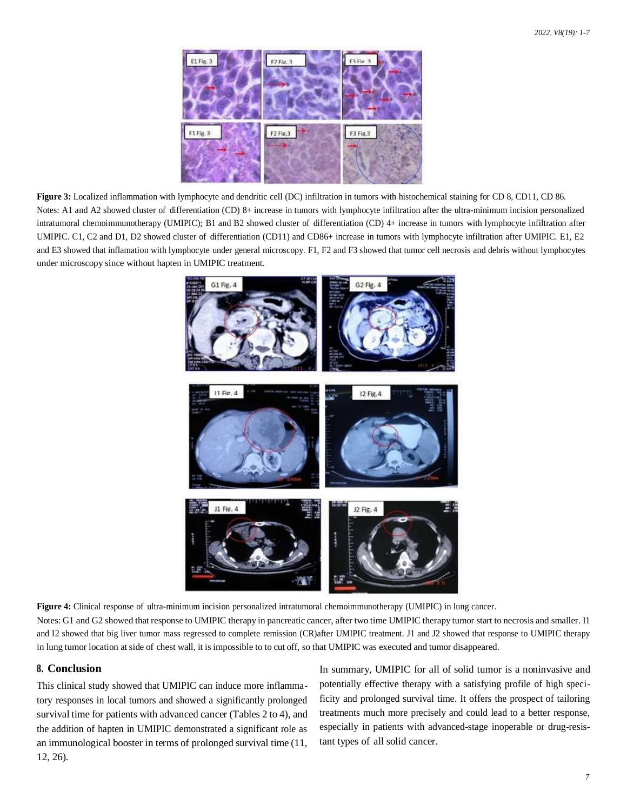

**Figure 3:** Localized inflammation with lymphocyte and dendritic cell (DC) infiltration in tumors with histochemical staining for CD 8, CD11, CD 86. Notes: A1 and A2 showed cluster of differentiation (CD) 8+ increase in tumors with lymphocyte infiltration after the ultra-minimum incision personalized intratumoral chemoimmunotherapy (UMIPIC); B1 and B2 showed cluster of differentiation (CD) 4+ increase in tumors with lymphocyte infiltration after UMIPIC. C1, C2 and D1, D2 showed cluster of differentiation (CD11) and CD86+ increase in tumors with lymphocyte infiltration after UMIPIC. E1, E2 and E3 showed that inflamation with lymphocyte under general microscopy. F1, F2 and F3 showed that tumor cell necrosis and debris without lymphocytes under microscopy since without hapten in UMIPIC treatment.



**Figure 4:** Clinical response of ultra-minimum incision personalized intratumoral chemoimmunotherapy (UMIPIC) in lung cancer. Notes: G1 and G2 showed that response to UMIPIC therapy in pancreatic cancer, after two time UMIPIC therapy tumor start to necrosis and smaller. I1 and I2 showed that big liver tumor mass regressed to complete remission (CR)after UMIPIC treatment. J1 and J2 showed that response to UMIPIC therapy in lung tumor location at side of chest wall, it isimpossible to to cut off, so that UMIPIC was executed and tumor disappeared.

# **8. Conclusion**

This clinical study showed that UMIPIC can induce more inflammatory responses in local tumors and showed a significantly prolonged survival time for patients with advanced cancer (Tables 2 to 4), and the addition of hapten in UMIPIC demonstrated a significant role as an immunological booster in terms of prolonged survival time (11, 12, 26).

In summary, UMIPIC for all of solid tumor is a noninvasive and potentially effective therapy with a satisfying profile of high specificity and prolonged survival time. It offers the prospect of tailoring treatments much more precisely and could lead to a better response, especially in patients with advanced-stage inoperable or drug-resistant types of all solid cancer.